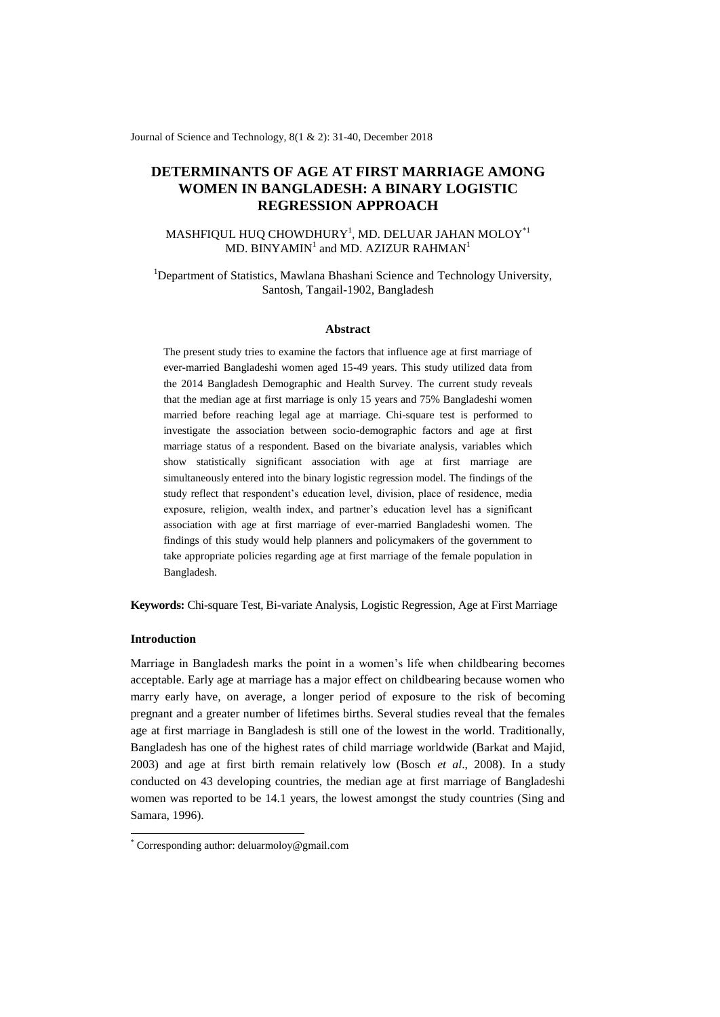Journal of Science and Technology, 8(1 & 2): 31-40, December 2018

# **DETERMINANTS OF AGE AT FIRST MARRIAGE AMONG WOMEN IN BANGLADESH: A BINARY LOGISTIC REGRESSION APPROACH**

# MASHFIQUL HUQ CHOWDHURY $^{\rm l}$ , MD. DELUAR JAHAN MOLOY $^{\ast_{\rm l}}$ MD. BINYAMIN<sup>1</sup> and MD. AZIZUR RAHMAN<sup>1</sup>

# <sup>1</sup>Department of Statistics, Mawlana Bhashani Science and Technology University, Santosh, Tangail-1902, Bangladesh

#### **Abstract**

The present study tries to examine the factors that influence age at first marriage of ever-married Bangladeshi women aged 15-49 years. This study utilized data from the 2014 Bangladesh Demographic and Health Survey. The current study reveals that the median age at first marriage is only 15 years and 75% Bangladeshi women married before reaching legal age at marriage. Chi-square test is performed to investigate the association between socio-demographic factors and age at first marriage status of a respondent. Based on the bivariate analysis, variables which show statistically significant association with age at first marriage are simultaneously entered into the binary logistic regression model. The findings of the study reflect that respondent's education level, division, place of residence, media exposure, religion, wealth index, and partner's education level has a significant association with age at first marriage of ever-married Bangladeshi women. The findings of this study would help planners and policymakers of the government to take appropriate policies regarding age at first marriage of the female population in Bangladesh.

**Keywords:** Chi-square Test, Bi-variate Analysis, Logistic Regression, Age at First Marriage

## **Introduction**

-

Marriage in Bangladesh marks the point in a women's life when childbearing becomes acceptable. Early age at marriage has a major effect on childbearing because women who marry early have, on average, a longer period of exposure to the risk of becoming pregnant and a greater number of lifetimes births. Several studies reveal that the females age at first marriage in Bangladesh is still one of the lowest in the world. Traditionally, Bangladesh has one of the highest rates of child marriage worldwide (Barkat and Majid, 2003) and age at first birth remain relatively low (Bosch *et al*., 2008). In a study conducted on 43 developing countries, the median age at first marriage of Bangladeshi women was reported to be 14.1 years, the lowest amongst the study countries (Sing and Samara, 1996).

<sup>\*</sup> Corresponding author: deluarmoloy@gmail.com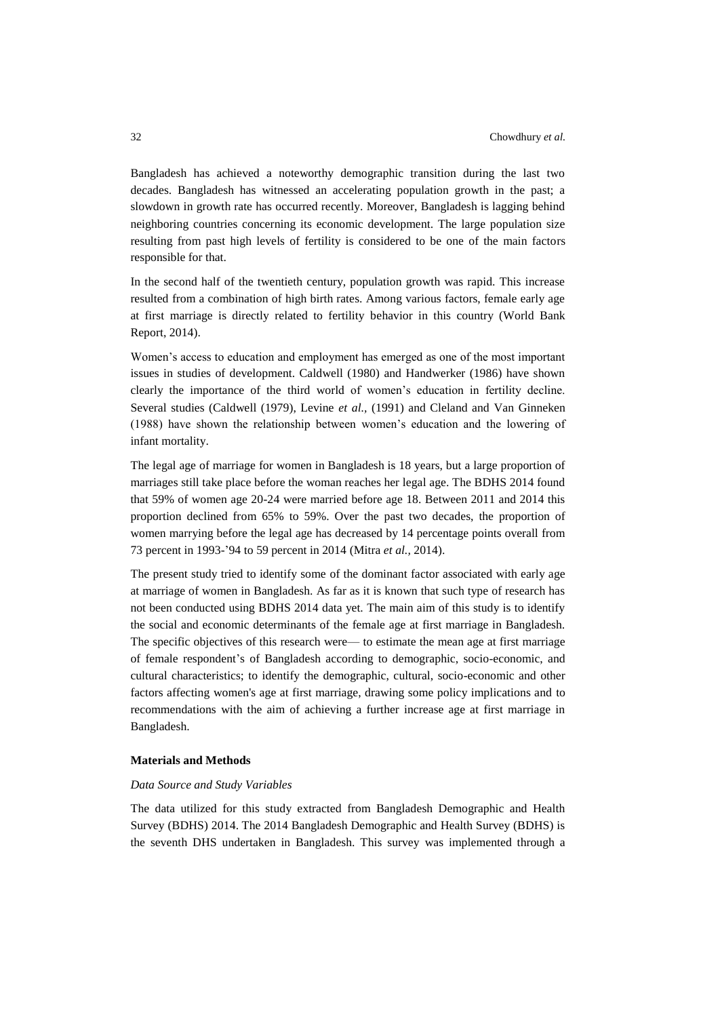Bangladesh has achieved a noteworthy demographic transition during the last two decades. Bangladesh has witnessed an accelerating population growth in the past; a slowdown in growth rate has occurred recently. Moreover, Bangladesh is lagging behind neighboring countries concerning its economic development. The large population size resulting from past high levels of fertility is considered to be one of the main factors responsible for that.

In the second half of the twentieth century, population growth was rapid. This increase resulted from a combination of high birth rates. Among various factors, female early age at first marriage is directly related to fertility behavior in this country (World Bank Report, 2014).

Women's access to education and employment has emerged as one of the most important issues in studies of development. Caldwell (1980) and Handwerker (1986) have shown clearly the importance of the third world of women's education in fertility decline. Several studies (Caldwell (1979), Levine *et al.,* (1991) and Cleland and Van Ginneken (1988) have shown the relationship between women's education and the lowering of infant mortality.

The legal age of marriage for women in Bangladesh is 18 years, but a large proportion of marriages still take place before the woman reaches her legal age. The BDHS 2014 found that 59% of women age 20-24 were married before age 18. Between 2011 and 2014 this proportion declined from 65% to 59%. Over the past two decades, the proportion of women marrying before the legal age has decreased by 14 percentage points overall from 73 percent in 1993-'94 to 59 percent in 2014 (Mitra *et al.,* 2014).

The present study tried to identify some of the dominant factor associated with early age at marriage of women in Bangladesh. As far as it is known that such type of research has not been conducted using BDHS 2014 data yet. The main aim of this study is to identify the social and economic determinants of the female age at first marriage in Bangladesh. The specific objectives of this research were— to estimate the mean age at first marriage of female respondent's of Bangladesh according to demographic, socio-economic, and cultural characteristics; to identify the demographic, cultural, socio-economic and other factors affecting women's age at first marriage, drawing some policy implications and to recommendations with the aim of achieving a further increase age at first marriage in Bangladesh.

## **Materials and Methods**

#### *Data Source and Study Variables*

The data utilized for this study extracted from Bangladesh Demographic and Health Survey (BDHS) 2014. The 2014 Bangladesh Demographic and Health Survey (BDHS) is the seventh DHS undertaken in Bangladesh. This survey was implemented through a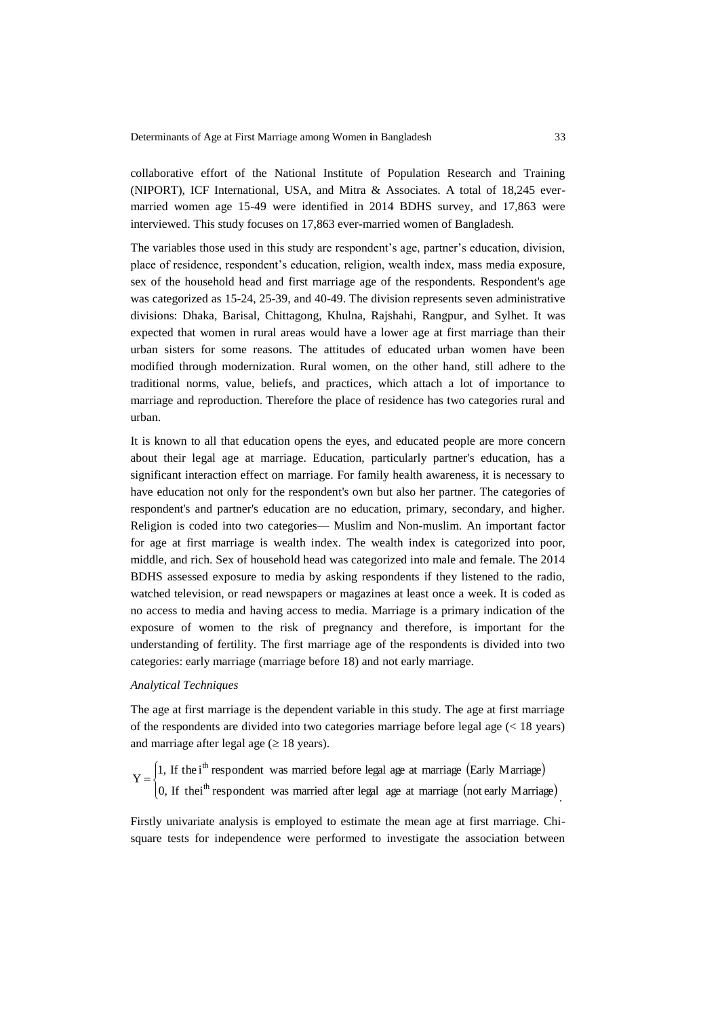collaborative effort of the National Institute of Population Research and Training (NIPORT), ICF International, USA, and Mitra & Associates. A total of 18,245 evermarried women age 15-49 were identified in 2014 BDHS survey, and 17,863 were interviewed. This study focuses on 17,863 ever-married women of Bangladesh.

The variables those used in this study are respondent's age, partner's education, division, place of residence, respondent's education, religion, wealth index, mass media exposure, sex of the household head and first marriage age of the respondents. Respondent's age was categorized as 15-24, 25-39, and 40-49. The division represents seven administrative divisions: Dhaka, Barisal, Chittagong, Khulna, Rajshahi, Rangpur, and Sylhet. It was expected that women in rural areas would have a lower age at first marriage than their urban sisters for some reasons. The attitudes of educated urban women have been modified through modernization. Rural women, on the other hand, still adhere to the traditional norms, value, beliefs, and practices, which attach a lot of importance to marriage and reproduction. Therefore the place of residence has two categories rural and urban.

It is known to all that education opens the eyes, and educated people are more concern about their legal age at marriage. Education, particularly partner's education, has a significant interaction effect on marriage. For family health awareness, it is necessary to have education not only for the respondent's own but also her partner. The categories of respondent's and partner's education are no education, primary, secondary, and higher. Religion is coded into two categories— Muslim and Non-muslim. An important factor for age at first marriage is wealth index. The wealth index is categorized into poor, middle, and rich. Sex of household head was categorized into male and female. The 2014 BDHS assessed exposure to media by asking respondents if they listened to the radio, watched television, or read newspapers or magazines at least once a week. It is coded as no access to media and having access to media. Marriage is a primary indication of the exposure of women to the risk of pregnancy and therefore, is important for the understanding of fertility. The first marriage age of the respondents is divided into two categories: early marriage (marriage before 18) and not early marriage.

## *Analytical Techniques*

The age at first marriage is the dependent variable in this study. The age at first marriage of the respondents are divided into two categories marriage before legal age (< 18 years) and marriage after legal age  $(\geq 18 \text{ years})$ .

(Early Marriage)  $\begin{cases} \frac{1}{2} & \text{if } x \geq 0 \\ \frac{1}{2} & \text{if } x \geq 0 \end{cases}$  $\left\lceil \cdot \right\rceil$  $=$  $Y = \begin{cases} 1, & \text{if the i}^{\text{th}} \text{ respondent was married before legal age at marriage (Early Marine) } \\ 0, & \text{If the i}^{\text{th}} \text{ resonondent was married after local age at marriage (ratalum) and the final time.} \end{cases}$ th

 $(0, 1f$  thei<sup>th</sup> respondent was married after legal age at marriage (not early Marriage) 0, If thei<sup>th</sup> respondent was married after legal age at marriage (not early Marriage .

Firstly univariate analysis is employed to estimate the mean age at first marriage. Chisquare tests for independence were performed to investigate the association between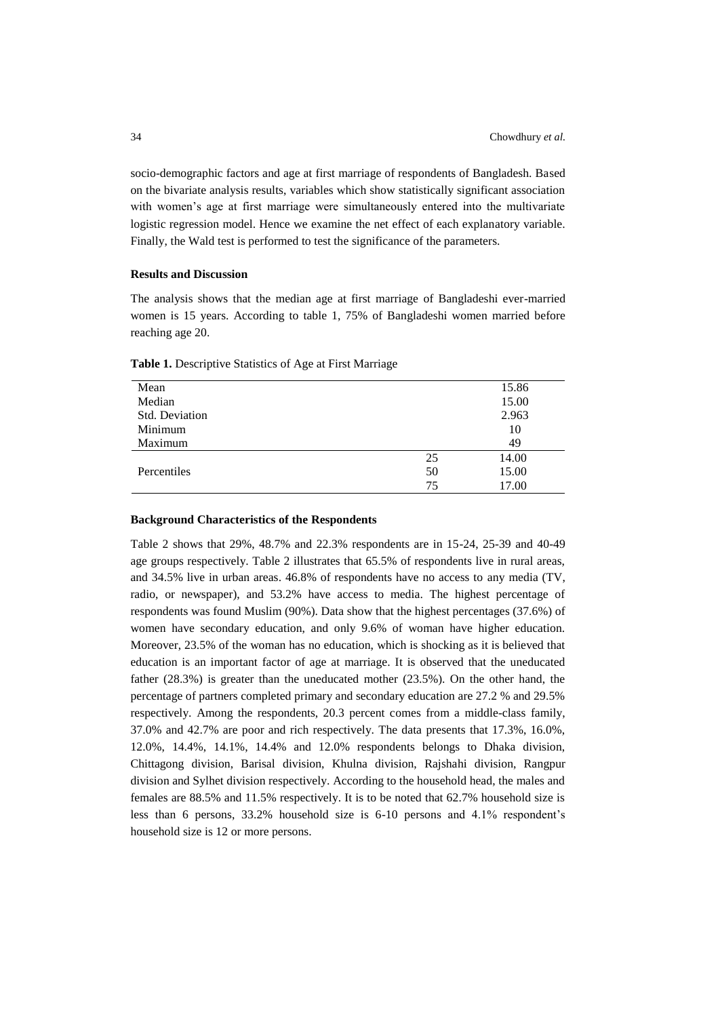socio-demographic factors and age at first marriage of respondents of Bangladesh. Based on the bivariate analysis results, variables which show statistically significant association with women's age at first marriage were simultaneously entered into the multivariate logistic regression model. Hence we examine the net effect of each explanatory variable. Finally, the Wald test is performed to test the significance of the parameters.

## **Results and Discussion**

The analysis shows that the median age at first marriage of Bangladeshi ever-married women is 15 years. According to table 1, 75% of Bangladeshi women married before reaching age 20.

| Mean           |    | 15.86 |
|----------------|----|-------|
| Median         |    | 15.00 |
| Std. Deviation |    | 2.963 |
| Minimum        |    | 10    |
| Maximum        |    | 49    |
|                | 25 | 14.00 |
| Percentiles    | 50 | 15.00 |
|                | 75 | 17.00 |

**Table 1.** Descriptive Statistics of Age at First Marriage

### **Background Characteristics of the Respondents**

Table 2 shows that 29%, 48.7% and 22.3% respondents are in 15-24, 25-39 and 40-49 age groups respectively. Table 2 illustrates that 65.5% of respondents live in rural areas, and 34.5% live in urban areas. 46.8% of respondents have no access to any media (TV, radio, or newspaper), and 53.2% have access to media. The highest percentage of respondents was found Muslim (90%). Data show that the highest percentages (37.6%) of women have secondary education, and only 9.6% of woman have higher education. Moreover, 23.5% of the woman has no education, which is shocking as it is believed that education is an important factor of age at marriage. It is observed that the uneducated father (28.3%) is greater than the uneducated mother (23.5%). On the other hand, the percentage of partners completed primary and secondary education are 27.2 % and 29.5% respectively. Among the respondents, 20.3 percent comes from a middle-class family, 37.0% and 42.7% are poor and rich respectively. The data presents that 17.3%, 16.0%, 12.0%, 14.4%, 14.1%, 14.4% and 12.0% respondents belongs to Dhaka division, Chittagong division, Barisal division, Khulna division, Rajshahi division, Rangpur division and Sylhet division respectively. According to the household head, the males and females are 88.5% and 11.5% respectively. It is to be noted that 62.7% household size is less than 6 persons, 33.2% household size is 6-10 persons and 4.1% respondent's household size is 12 or more persons.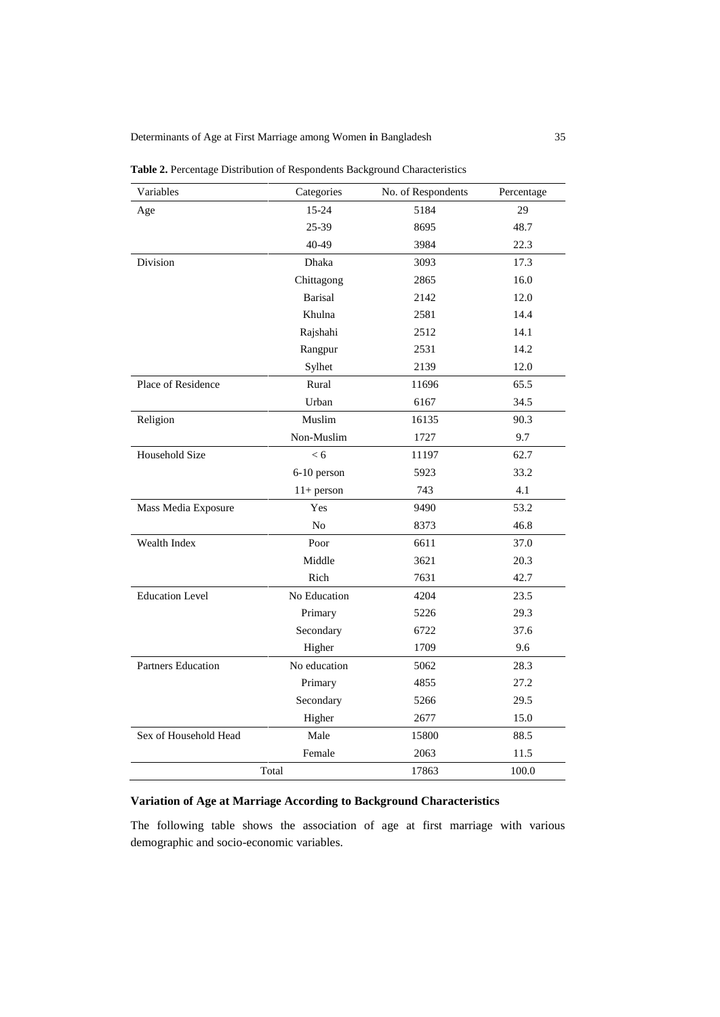Determinants of Age at First Marriage among Women **i**n Bangladesh 35

| Variables                 | Categories     | No. of Respondents | Percentage |
|---------------------------|----------------|--------------------|------------|
| Age                       | 15-24          | 5184               | 29         |
|                           | 25-39          | 8695               | 48.7       |
|                           | 40-49          | 3984               | 22.3       |
| Division                  | Dhaka          | 3093               | 17.3       |
|                           | Chittagong     | 2865               | 16.0       |
|                           | <b>Barisal</b> | 2142               | 12.0       |
|                           | Khulna         | 2581               | 14.4       |
|                           | Rajshahi       | 2512               | 14.1       |
|                           | Rangpur        | 2531               | 14.2       |
|                           | Sylhet         | 2139               | 12.0       |
| Place of Residence        | Rural          | 11696              | 65.5       |
|                           | Urban          | 6167               | 34.5       |
| Religion                  | Muslim         | 16135              | 90.3       |
|                           | Non-Muslim     | 1727               | 9.7        |
| Household Size            | < 6            | 11197              | 62.7       |
|                           | 6-10 person    | 5923               | 33.2       |
|                           | $11+$ person   | 743                | 4.1        |
| Mass Media Exposure       | Yes            | 9490               | 53.2       |
|                           | N <sub>0</sub> | 8373               | 46.8       |
| Wealth Index              | Poor           | 6611               | 37.0       |
|                           | Middle         | 3621               | 20.3       |
|                           | Rich           | 7631               | 42.7       |
| <b>Education Level</b>    | No Education   | 4204               | 23.5       |
|                           | Primary        | 5226               | 29.3       |
|                           | Secondary      | 6722               | 37.6       |
|                           | Higher         | 1709               | 9.6        |
| <b>Partners Education</b> | No education   | 5062               | 28.3       |
|                           | Primary        | 4855               | 27.2       |
|                           | Secondary      | 5266               | 29.5       |
|                           | Higher         | 2677               | 15.0       |
| Sex of Household Head     | Male           | 15800              | 88.5       |
|                           | Female         | 2063               | 11.5       |
|                           | Total          | 17863              | 100.0      |

**Table 2.** Percentage Distribution of Respondents Background Characteristics

# **Variation of Age at Marriage According to Background Characteristics**

The following table shows the association of age at first marriage with various demographic and socio-economic variables.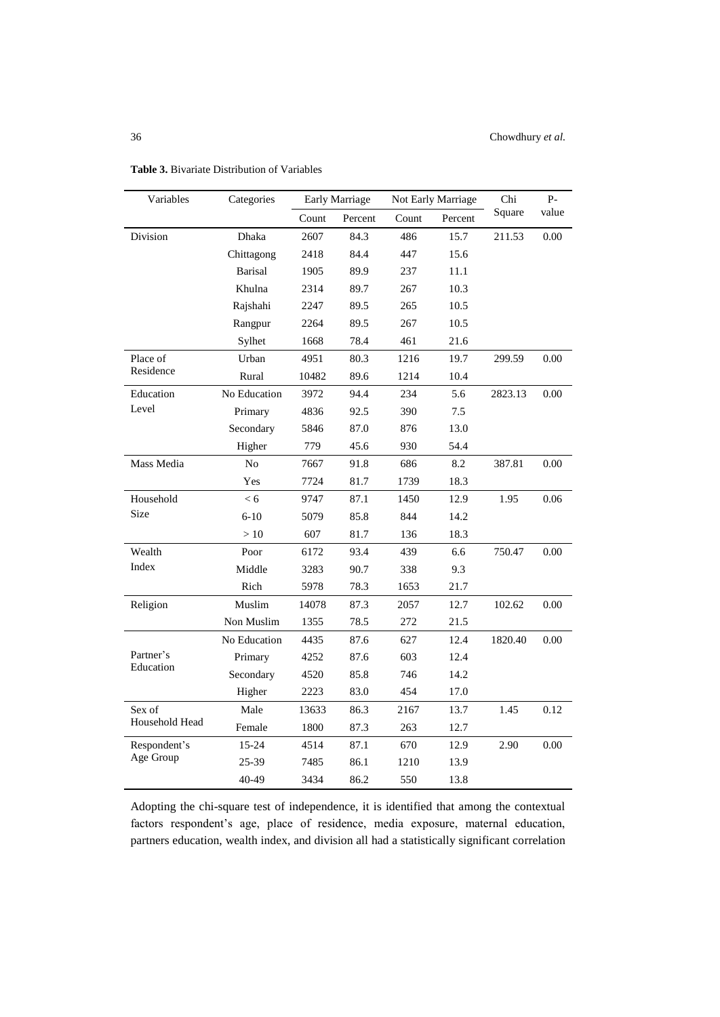| Variables                | Categories     | <b>Early Marriage</b> |         | Not Early Marriage |         | Chi     | P-    |
|--------------------------|----------------|-----------------------|---------|--------------------|---------|---------|-------|
|                          |                | Count                 | Percent | Count              | Percent | Square  | value |
| Division                 | Dhaka          | 2607                  | 84.3    | 486                | 15.7    | 211.53  | 0.00  |
|                          | Chittagong     | 2418                  | 84.4    | 447                | 15.6    |         |       |
|                          | <b>Barisal</b> | 1905                  | 89.9    | 237                | 11.1    |         |       |
|                          | Khulna         | 2314                  | 89.7    | 267                | 10.3    |         |       |
|                          | Rajshahi       | 2247                  | 89.5    | 265                | 10.5    |         |       |
|                          | Rangpur        | 2264                  | 89.5    | 267                | 10.5    |         |       |
|                          | Sylhet         | 1668                  | 78.4    | 461                | 21.6    |         |       |
| Place of                 | Urban          | 4951                  | 80.3    | 1216               | 19.7    | 299.59  | 0.00  |
| Residence                | Rural          | 10482                 | 89.6    | 1214               | 10.4    |         |       |
| Education                | No Education   | 3972                  | 94.4    | 234                | 5.6     | 2823.13 | 0.00  |
| Level                    | Primary        | 4836                  | 92.5    | 390                | 7.5     |         |       |
|                          | Secondary      | 5846                  | 87.0    | 876                | 13.0    |         |       |
|                          | Higher         | 779                   | 45.6    | 930                | 54.4    |         |       |
| Mass Media               | No             | 7667                  | 91.8    | 686                | 8.2     | 387.81  | 0.00  |
|                          | Yes            | 7724                  | 81.7    | 1739               | 18.3    |         |       |
| Household                | < 6            | 9747                  | 87.1    | 1450               | 12.9    | 1.95    | 0.06  |
| Size                     | $6 - 10$       | 5079                  | 85.8    | 844                | 14.2    |         |       |
|                          | >10            | 607                   | 81.7    | 136                | 18.3    |         |       |
| Wealth                   | Poor           | 6172                  | 93.4    | 439                | 6.6     | 750.47  | 0.00  |
| Index                    | Middle         | 3283                  | 90.7    | 338                | 9.3     |         |       |
|                          | Rich           | 5978                  | 78.3    | 1653               | 21.7    |         |       |
| Religion                 | Muslim         | 14078                 | 87.3    | 2057               | 12.7    | 102.62  | 0.00  |
|                          | Non Muslim     | 1355                  | 78.5    | 272                | 21.5    |         |       |
| Partner's<br>Education   | No Education   | 4435                  | 87.6    | 627                | 12.4    | 1820.40 | 0.00  |
|                          | Primary        | 4252                  | 87.6    | 603                | 12.4    |         |       |
|                          | Secondary      | 4520                  | 85.8    | 746                | 14.2    |         |       |
|                          | Higher         | 2223                  | 83.0    | 454                | 17.0    |         |       |
| Sex of<br>Household Head | Male           | 13633                 | 86.3    | 2167               | 13.7    | 1.45    | 0.12  |
|                          | Female         | 1800                  | 87.3    | 263                | 12.7    |         |       |
| Respondent's             | 15-24          | 4514                  | 87.1    | 670                | 12.9    | 2.90    | 0.00  |
| Age Group                | 25-39          | 7485                  | 86.1    | 1210               | 13.9    |         |       |
|                          | 40-49          | 3434                  | 86.2    | 550                | 13.8    |         |       |

**Table 3.** Bivariate Distribution of Variables

Adopting the chi-square test of independence, it is identified that among the contextual factors respondent's age, place of residence, media exposure, maternal education, partners education, wealth index, and division all had a statistically significant correlation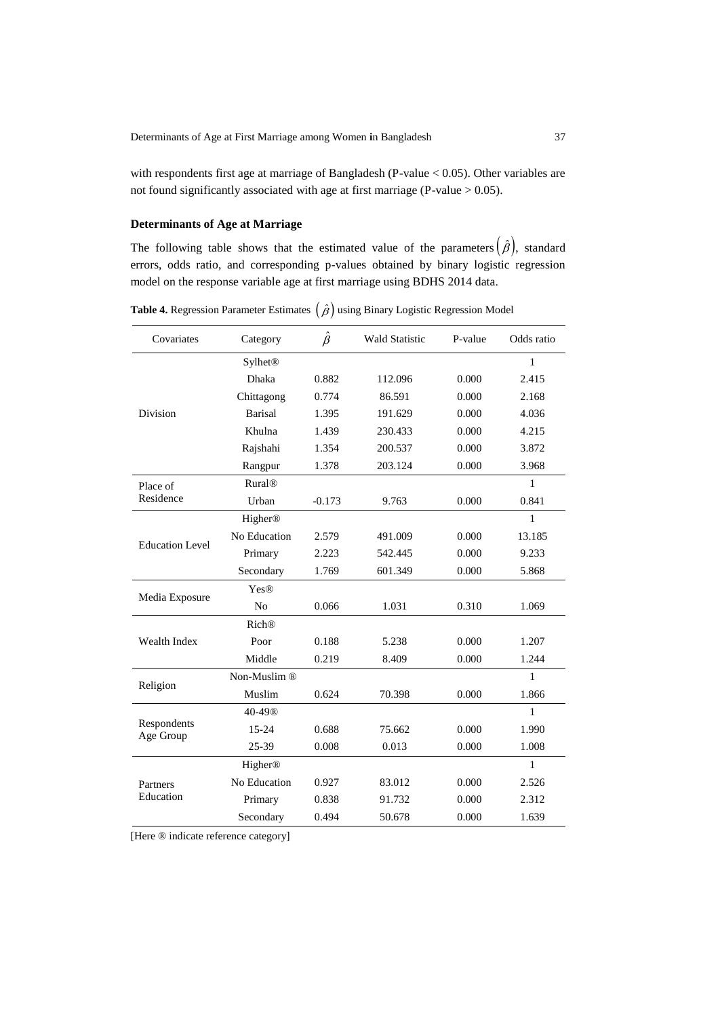with respondents first age at marriage of Bangladesh (P-value < 0.05). Other variables are not found significantly associated with age at first marriage (P-value > 0.05).

# **Determinants of Age at Marriage**

The following table shows that the estimated value of the parameters  $(\hat{\beta})$ , standard errors, odds ratio, and corresponding p-values obtained by binary logistic regression model on the response variable age at first marriage using BDHS 2014 data.

| Covariates               | Category                  | $\hat{\beta}$ | <b>Wald Statistic</b> | P-value | Odds ratio   |
|--------------------------|---------------------------|---------------|-----------------------|---------|--------------|
|                          | <b>Sylhet<sup>®</sup></b> |               |                       |         | 1            |
|                          | Dhaka                     | 0.882         | 112.096               | 0.000   | 2.415        |
|                          | Chittagong                | 0.774         | 86.591                | 0.000   | 2.168        |
| Division                 | Barisal                   | 1.395         | 191.629               | 0.000   | 4.036        |
|                          | Khulna                    | 1.439         | 230.433               | 0.000   | 4.215        |
|                          | Rajshahi                  | 1.354         | 200.537               | 0.000   | 3.872        |
|                          | Rangpur                   | 1.378         | 203.124               | 0.000   | 3.968        |
| Place of                 | <b>Rural®</b>             |               |                       |         | 1            |
| Residence                | Urban                     | $-0.173$      | 9.763                 | 0.000   | 0.841        |
| <b>Education Level</b>   | Higher®                   |               |                       |         | 1            |
|                          | No Education              | 2.579         | 491.009               | 0.000   | 13.185       |
|                          | Primary                   | 2.223         | 542.445               | 0.000   | 9.233        |
|                          | Secondary                 | 1.769         | 601.349               | 0.000   | 5.868        |
| Media Exposure           | <b>Yes®</b>               |               |                       |         |              |
|                          | N <sub>o</sub>            | 0.066         | 1.031                 | 0.310   | 1.069        |
| Wealth Index             | <b>Rich®</b>              |               |                       |         |              |
|                          | Poor                      | 0.188         | 5.238                 | 0.000   | 1.207        |
|                          | Middle                    | 0.219         | 8.409                 | 0.000   | 1.244        |
| Religion                 | Non-Muslim®               |               |                       |         | 1            |
|                          | Muslim                    | 0.624         | 70.398                | 0.000   | 1.866        |
| Respondents<br>Age Group | 40-49®                    |               |                       |         | $\mathbf{1}$ |
|                          | 15-24                     | 0.688         | 75.662                | 0.000   | 1.990        |
|                          | 25-39                     | 0.008         | 0.013                 | 0.000   | 1.008        |
| Partners<br>Education    | Higher®                   |               |                       |         | $\mathbf{1}$ |
|                          | No Education              | 0.927         | 83.012                | 0.000   | 2.526        |
|                          | Primary                   | 0.838         | 91.732                | 0.000   | 2.312        |
|                          | Secondary                 | 0.494         | 50.678                | 0.000   | 1.639        |

**Table 4.** Regression Parameter Estimates  $(\hat{\beta})$  using Binary Logistic Regression Model

[Here ® indicate reference category]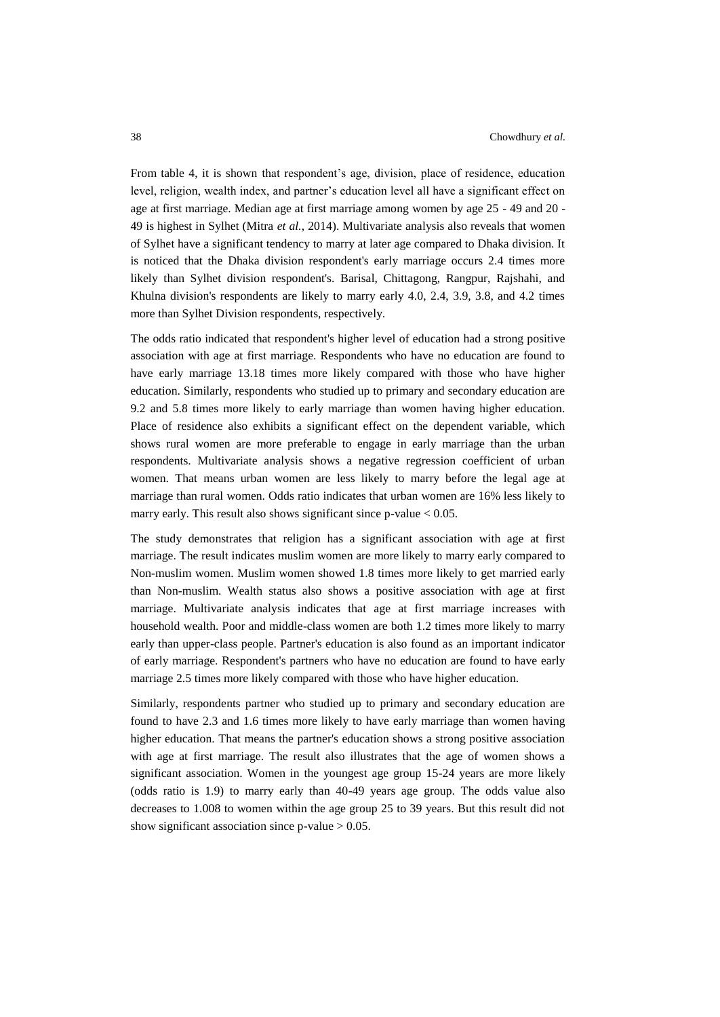From table 4, it is shown that respondent's age, division, place of residence, education level, religion, wealth index, and partner's education level all have a significant effect on age at first marriage. Median age at first marriage among women by age 25 - 49 and 20 - 49 is highest in Sylhet (Mitra *et al.*, 2014). Multivariate analysis also reveals that women of Sylhet have a significant tendency to marry at later age compared to Dhaka division. It is noticed that the Dhaka division respondent's early marriage occurs 2.4 times more likely than Sylhet division respondent's. Barisal, Chittagong, Rangpur, Rajshahi, and Khulna division's respondents are likely to marry early 4.0, 2.4, 3.9, 3.8, and 4.2 times more than Sylhet Division respondents, respectively.

The odds ratio indicated that respondent's higher level of education had a strong positive association with age at first marriage. Respondents who have no education are found to have early marriage 13.18 times more likely compared with those who have higher education. Similarly, respondents who studied up to primary and secondary education are 9.2 and 5.8 times more likely to early marriage than women having higher education. Place of residence also exhibits a significant effect on the dependent variable, which shows rural women are more preferable to engage in early marriage than the urban respondents. Multivariate analysis shows a negative regression coefficient of urban women. That means urban women are less likely to marry before the legal age at marriage than rural women. Odds ratio indicates that urban women are 16% less likely to marry early. This result also shows significant since  $p$ -value  $< 0.05$ .

The study demonstrates that religion has a significant association with age at first marriage. The result indicates muslim women are more likely to marry early compared to Non-muslim women. Muslim women showed 1.8 times more likely to get married early than Non-muslim. Wealth status also shows a positive association with age at first marriage. Multivariate analysis indicates that age at first marriage increases with household wealth. Poor and middle-class women are both 1.2 times more likely to marry early than upper-class people. Partner's education is also found as an important indicator of early marriage. Respondent's partners who have no education are found to have early marriage 2.5 times more likely compared with those who have higher education.

Similarly, respondents partner who studied up to primary and secondary education are found to have 2.3 and 1.6 times more likely to have early marriage than women having higher education. That means the partner's education shows a strong positive association with age at first marriage. The result also illustrates that the age of women shows a significant association. Women in the youngest age group 15-24 years are more likely (odds ratio is 1.9) to marry early than 40-49 years age group. The odds value also decreases to 1.008 to women within the age group 25 to 39 years. But this result did not show significant association since  $p$ -value  $> 0.05$ .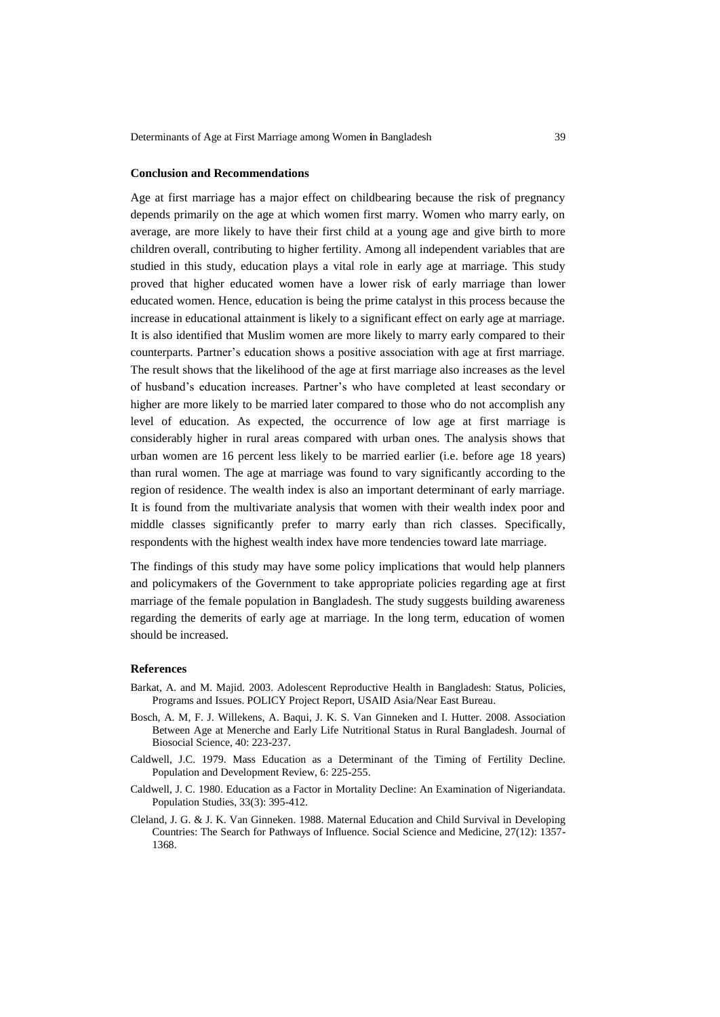#### **Conclusion and Recommendations**

Age at first marriage has a major effect on childbearing because the risk of pregnancy depends primarily on the age at which women first marry. Women who marry early, on average, are more likely to have their first child at a young age and give birth to more children overall, contributing to higher fertility. Among all independent variables that are studied in this study, education plays a vital role in early age at marriage. This study proved that higher educated women have a lower risk of early marriage than lower educated women. Hence, education is being the prime catalyst in this process because the increase in educational attainment is likely to a significant effect on early age at marriage. It is also identified that Muslim women are more likely to marry early compared to their counterparts. Partner's education shows a positive association with age at first marriage. The result shows that the likelihood of the age at first marriage also increases as the level of husband's education increases. Partner's who have completed at least secondary or higher are more likely to be married later compared to those who do not accomplish any level of education. As expected, the occurrence of low age at first marriage is considerably higher in rural areas compared with urban ones. The analysis shows that urban women are 16 percent less likely to be married earlier (i.e. before age 18 years) than rural women. The age at marriage was found to vary significantly according to the region of residence. The wealth index is also an important determinant of early marriage. It is found from the multivariate analysis that women with their wealth index poor and middle classes significantly prefer to marry early than rich classes. Specifically, respondents with the highest wealth index have more tendencies toward late marriage.

The findings of this study may have some policy implications that would help planners and policymakers of the Government to take appropriate policies regarding age at first marriage of the female population in Bangladesh. The study suggests building awareness regarding the demerits of early age at marriage. In the long term, education of women should be increased.

### **References**

- Barkat, A. and M. Majid. 2003. Adolescent Reproductive Health in Bangladesh: Status, Policies, Programs and Issues. POLICY Project Report, USAID Asia/Near East Bureau.
- Bosch, A. M, F. J. Willekens, A. Baqui, J. K. S. Van Ginneken and I. Hutter. 2008. Association Between Age at Menerche and Early Life Nutritional Status in Rural Bangladesh. Journal of Biosocial Science, 40: 223-237.
- Caldwell, J.C. 1979. Mass Education as a Determinant of the Timing of Fertility Decline. Population and Development Review, 6: 225-255.
- Caldwell, J. C. 1980. Education as a Factor in Mortality Decline: An Examination of Nigeriandata. Population Studies, 33(3): 395-412.
- Cleland, J. G. & J. K. Van Ginneken. 1988. Maternal Education and Child Survival in Developing Countries: The Search for Pathways of Influence. Social Science and Medicine, 27(12): 1357- 1368.